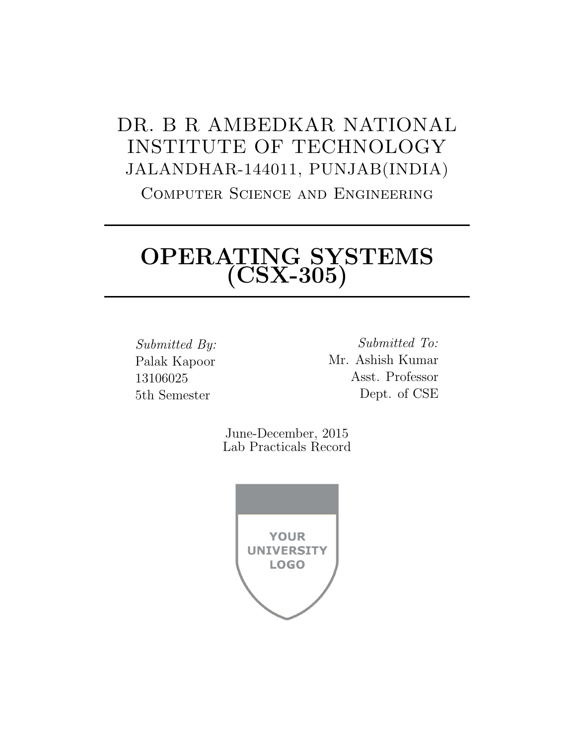## DR. B R AMBEDKAR NATIONAL INSTITUTE OF TECHNOLOGY JALANDHAR-144011, PUNJAB(INDIA) Computer Science and Engineering

# OPERATING SYSTEMS (CSX-305)

Submitted By: Palak Kapoor 13106025 5th Semester

Submitted To: Mr. Ashish Kumar Asst. Professor Dept. of CSE

June-December, 2015 Lab Practicals Record

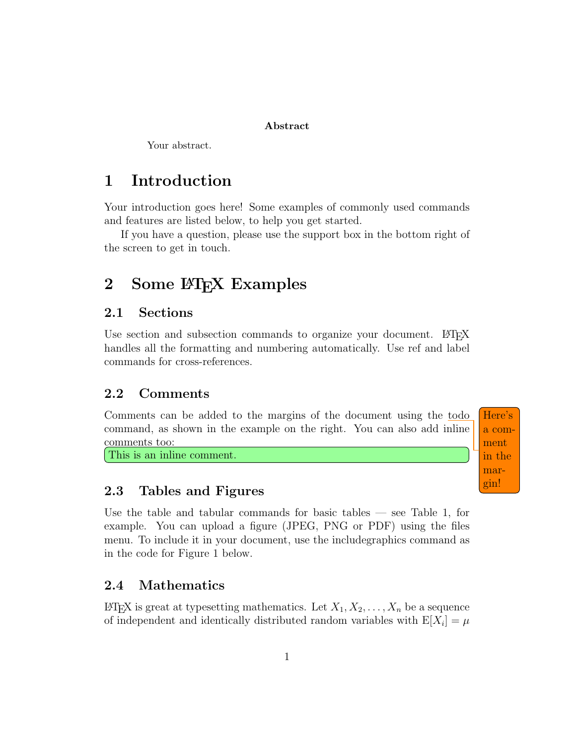#### Abstract

Your abstract.

### 1 Introduction

Your introduction goes here! Some examples of commonly used commands and features are listed below, to help you get started.

If you have a question, please use the support box in the bottom right of the screen to get in touch.

## 2 Some LAT<sub>EX</sub> Examples

#### 2.1 Sections

Use section and subsection commands to organize your document. LATEX handles all the formatting and numbering automatically. Use ref and label commands for cross-references.

### 2.2 Comments

Comments can be added to the margins of the document using the todo Here's command, as shown in the example on the right. You can also add inline comments too:

This is an inline comment.

### 2.3 Tables and Figures

Use the table and tabular commands for basic tables — see Table 1, for example. You can upload a figure (JPEG, PNG or PDF) using the files menu. To include it in your document, use the includegraphics command as in the code for Figure 1 below.

#### 2.4 Mathematics

LATEX is great at typesetting mathematics. Let  $X_1, X_2, \ldots, X_n$  be a sequence of independent and identically distributed random variables with  $E[X_i] = \mu$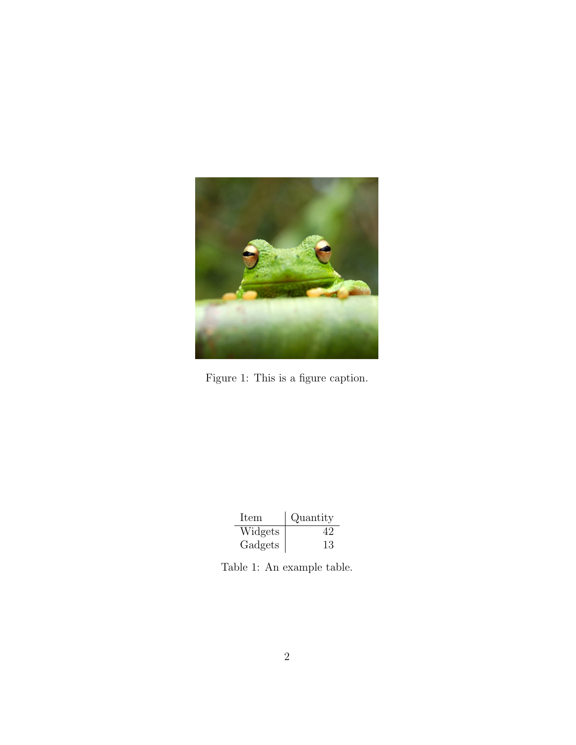

Figure 1: This is a figure caption.

| <b>Item</b> | Quantity |
|-------------|----------|
| Widgets     |          |
| Gadgets     | 13       |

Table 1: An example table.